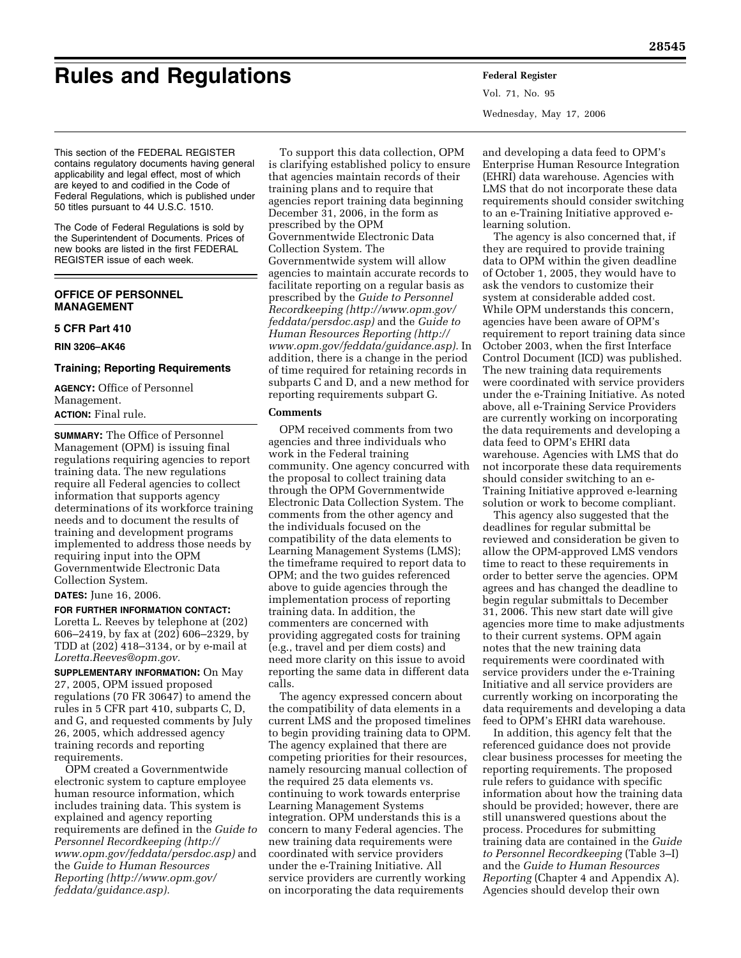# **Rules and Regulations Federal Register**

Vol. 71, No. 95 Wednesday, May 17, 2006

This section of the FEDERAL REGISTER contains regulatory documents having general applicability and legal effect, most of which are keyed to and codified in the Code of Federal Regulations, which is published under 50 titles pursuant to 44 U.S.C. 1510.

The Code of Federal Regulations is sold by the Superintendent of Documents. Prices of new books are listed in the first FEDERAL REGISTER issue of each week.

# **OFFICE OF PERSONNEL MANAGEMENT**

# **5 CFR Part 410**

**RIN 3206–AK46** 

#### **Training; Reporting Requirements**

**AGENCY:** Office of Personnel Management.

# **ACTION:** Final rule.

**SUMMARY:** The Office of Personnel Management (OPM) is issuing final regulations requiring agencies to report training data. The new regulations require all Federal agencies to collect information that supports agency determinations of its workforce training needs and to document the results of training and development programs implemented to address those needs by requiring input into the OPM Governmentwide Electronic Data Collection System.

#### **DATES:** June 16, 2006.

**FOR FURTHER INFORMATION CONTACT:** Loretta L. Reeves by telephone at (202) 606–2419, by fax at (202) 606–2329, by TDD at (202) 418–3134, or by e-mail at *[Loretta.Reeves@opm.gov.](mailto:Reeves@opm.gov)* 

**SUPPLEMENTARY INFORMATION:** On May 27, 2005, OPM issued proposed regulations (70 FR 30647) to amend the rules in 5 CFR part 410, subparts C, D, and G, and requested comments by July 26, 2005, which addressed agency training records and reporting requirements.

OPM created a Governmentwide electronic system to capture employee human resource information, which includes training data. This system is explained and agency reporting requirements are defined in the *Guide to Personnel Recordkeeping [\(http://](http://www.opm.gov/feddata/persdoc.asp)  [www.opm.gov/feddata/persdoc.asp\)](http://www.opm.gov/feddata/persdoc.asp)* and the *Guide to Human Resources Reporting ([http://www.opm.gov/](http://www.opm.gov/feddata/guidance.asp)  [feddata/guidance.asp\).](http://www.opm.gov/feddata/guidance.asp)* 

To support this data collection, OPM is clarifying established policy to ensure that agencies maintain records of their training plans and to require that agencies report training data beginning December 31, 2006, in the form as prescribed by the OPM Governmentwide Electronic Data Collection System. The Governmentwide system will allow agencies to maintain accurate records to facilitate reporting on a regular basis as prescribed by the *Guide to Personnel Recordkeeping ([http://www.opm.gov/](http://www.opm.gov/feddata/persdoc.asp)  [feddata/persdoc.asp\)](http://www.opm.gov/feddata/persdoc.asp)* and the *Guide to Human Resources Reporting [\(http://](http://www.opm.gov/feddata/guidance.asp)  [www.opm.gov/feddata/guidance.asp\).](http://www.opm.gov/feddata/guidance.asp)* In addition, there is a change in the period of time required for retaining records in subparts C and D, and a new method for reporting requirements subpart G.

# **Comments**

OPM received comments from two agencies and three individuals who work in the Federal training community. One agency concurred with the proposal to collect training data through the OPM Governmentwide Electronic Data Collection System. The comments from the other agency and the individuals focused on the compatibility of the data elements to Learning Management Systems (LMS); the timeframe required to report data to OPM; and the two guides referenced above to guide agencies through the implementation process of reporting training data. In addition, the commenters are concerned with providing aggregated costs for training (e.g., travel and per diem costs) and need more clarity on this issue to avoid reporting the same data in different data calls.

The agency expressed concern about the compatibility of data elements in a current LMS and the proposed timelines to begin providing training data to OPM. The agency explained that there are competing priorities for their resources, namely resourcing manual collection of the required 25 data elements vs. continuing to work towards enterprise Learning Management Systems integration. OPM understands this is a concern to many Federal agencies. The new training data requirements were coordinated with service providers under the e-Training Initiative. All service providers are currently working on incorporating the data requirements

and developing a data feed to OPM's Enterprise Human Resource Integration (EHRI) data warehouse. Agencies with LMS that do not incorporate these data requirements should consider switching to an e-Training Initiative approved elearning solution.

The agency is also concerned that, if they are required to provide training data to OPM within the given deadline of October 1, 2005, they would have to ask the vendors to customize their system at considerable added cost. While OPM understands this concern, agencies have been aware of OPM's requirement to report training data since October 2003, when the first Interface Control Document (ICD) was published. The new training data requirements were coordinated with service providers under the e-Training Initiative. As noted above, all e-Training Service Providers are currently working on incorporating the data requirements and developing a data feed to OPM's EHRI data warehouse. Agencies with LMS that do not incorporate these data requirements should consider switching to an e-Training Initiative approved e-learning solution or work to become compliant.

This agency also suggested that the deadlines for regular submittal be reviewed and consideration be given to allow the OPM-approved LMS vendors time to react to these requirements in order to better serve the agencies. OPM agrees and has changed the deadline to begin regular submittals to December 31, 2006. This new start date will give agencies more time to make adjustments to their current systems. OPM again notes that the new training data requirements were coordinated with service providers under the e-Training Initiative and all service providers are currently working on incorporating the data requirements and developing a data feed to OPM's EHRI data warehouse.

In addition, this agency felt that the referenced guidance does not provide clear business processes for meeting the reporting requirements. The proposed rule refers to guidance with specific information about how the training data should be provided; however, there are still unanswered questions about the process. Procedures for submitting training data are contained in the *Guide to Personnel Recordkeeping* (Table 3–I) and the *Guide to Human Resources Reporting* (Chapter 4 and Appendix A). Agencies should develop their own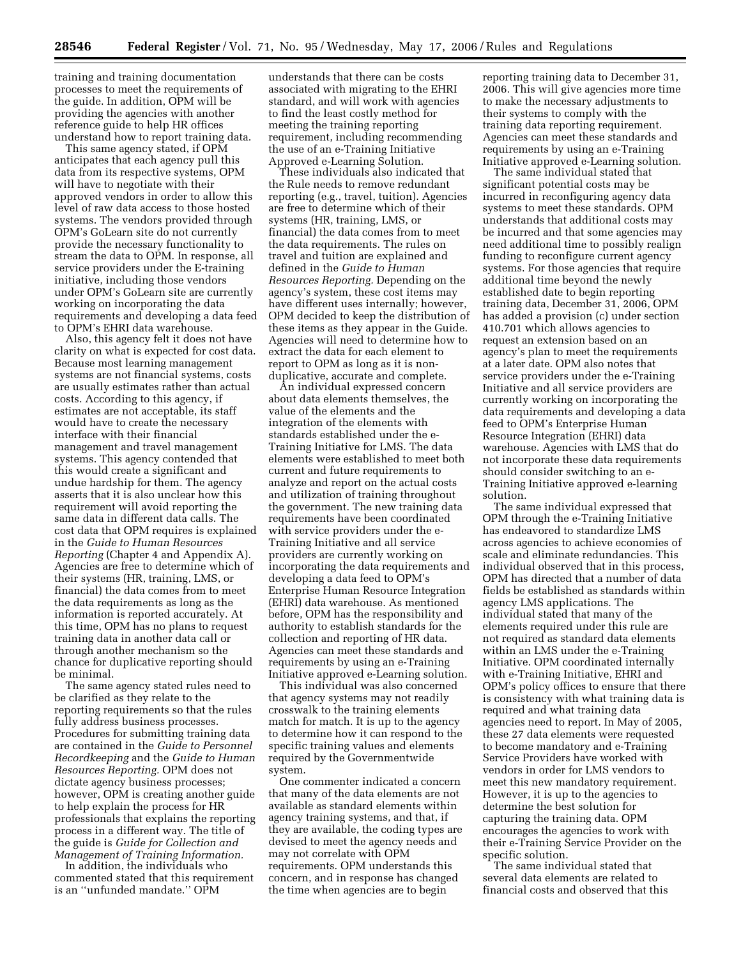training and training documentation processes to meet the requirements of the guide. In addition, OPM will be providing the agencies with another reference guide to help HR offices understand how to report training data.

This same agency stated, if OPM anticipates that each agency pull this data from its respective systems, OPM will have to negotiate with their approved vendors in order to allow this level of raw data access to those hosted systems. The vendors provided through OPM's GoLearn site do not currently provide the necessary functionality to stream the data to OPM. In response, all service providers under the E-training initiative, including those vendors under OPM's GoLearn site are currently working on incorporating the data requirements and developing a data feed to OPM's EHRI data warehouse.

Also, this agency felt it does not have clarity on what is expected for cost data. Because most learning management systems are not financial systems, costs are usually estimates rather than actual costs. According to this agency, if estimates are not acceptable, its staff would have to create the necessary interface with their financial management and travel management systems. This agency contended that this would create a significant and undue hardship for them. The agency asserts that it is also unclear how this requirement will avoid reporting the same data in different data calls. The cost data that OPM requires is explained in the *Guide to Human Resources Reporting* (Chapter 4 and Appendix A). Agencies are free to determine which of their systems (HR, training, LMS, or financial) the data comes from to meet the data requirements as long as the information is reported accurately. At this time, OPM has no plans to request training data in another data call or through another mechanism so the chance for duplicative reporting should be minimal.

The same agency stated rules need to be clarified as they relate to the reporting requirements so that the rules fully address business processes. Procedures for submitting training data are contained in the *Guide to Personnel Recordkeeping* and the *Guide to Human Resources Reporting.* OPM does not dictate agency business processes; however, OPM is creating another guide to help explain the process for HR professionals that explains the reporting process in a different way. The title of the guide is *Guide for Collection and Management of Training Information.* 

In addition, the individuals who commented stated that this requirement is an ''unfunded mandate.'' OPM

understands that there can be costs associated with migrating to the EHRI standard, and will work with agencies to find the least costly method for meeting the training reporting requirement, including recommending the use of an e-Training Initiative Approved e-Learning Solution.

These individuals also indicated that the Rule needs to remove redundant reporting (e.g., travel, tuition). Agencies are free to determine which of their systems (HR, training, LMS, or financial) the data comes from to meet the data requirements. The rules on travel and tuition are explained and defined in the *Guide to Human Resources Reporting.* Depending on the agency's system, these cost items may have different uses internally; however, OPM decided to keep the distribution of these items as they appear in the Guide. Agencies will need to determine how to extract the data for each element to report to OPM as long as it is nonduplicative, accurate and complete.

An individual expressed concern about data elements themselves, the value of the elements and the integration of the elements with standards established under the e-Training Initiative for LMS. The data elements were established to meet both current and future requirements to analyze and report on the actual costs and utilization of training throughout the government. The new training data requirements have been coordinated with service providers under the e-Training Initiative and all service providers are currently working on incorporating the data requirements and developing a data feed to OPM's Enterprise Human Resource Integration (EHRI) data warehouse. As mentioned before, OPM has the responsibility and authority to establish standards for the collection and reporting of HR data. Agencies can meet these standards and requirements by using an e-Training Initiative approved e-Learning solution.

This individual was also concerned that agency systems may not readily crosswalk to the training elements match for match. It is up to the agency to determine how it can respond to the specific training values and elements required by the Governmentwide system.

One commenter indicated a concern that many of the data elements are not available as standard elements within agency training systems, and that, if they are available, the coding types are devised to meet the agency needs and may not correlate with OPM requirements. OPM understands this concern, and in response has changed the time when agencies are to begin

reporting training data to December 31, 2006. This will give agencies more time to make the necessary adjustments to their systems to comply with the training data reporting requirement. Agencies can meet these standards and requirements by using an e-Training Initiative approved e-Learning solution.

The same individual stated that significant potential costs may be incurred in reconfiguring agency data systems to meet these standards. OPM understands that additional costs may be incurred and that some agencies may need additional time to possibly realign funding to reconfigure current agency systems. For those agencies that require additional time beyond the newly established date to begin reporting training data, December 31, 2006, OPM has added a provision (c) under section 410.701 which allows agencies to request an extension based on an agency's plan to meet the requirements at a later date. OPM also notes that service providers under the e-Training Initiative and all service providers are currently working on incorporating the data requirements and developing a data feed to OPM's Enterprise Human Resource Integration (EHRI) data warehouse. Agencies with LMS that do not incorporate these data requirements should consider switching to an e-Training Initiative approved e-learning solution.

The same individual expressed that OPM through the e-Training Initiative has endeavored to standardize LMS across agencies to achieve economies of scale and eliminate redundancies. This individual observed that in this process, OPM has directed that a number of data fields be established as standards within agency LMS applications. The individual stated that many of the elements required under this rule are not required as standard data elements within an LMS under the e-Training Initiative. OPM coordinated internally with e-Training Initiative, EHRI and OPM's policy offices to ensure that there is consistency with what training data is required and what training data agencies need to report. In May of 2005, these 27 data elements were requested to become mandatory and e-Training Service Providers have worked with vendors in order for LMS vendors to meet this new mandatory requirement. However, it is up to the agencies to determine the best solution for capturing the training data. OPM encourages the agencies to work with their e-Training Service Provider on the specific solution.

The same individual stated that several data elements are related to financial costs and observed that this